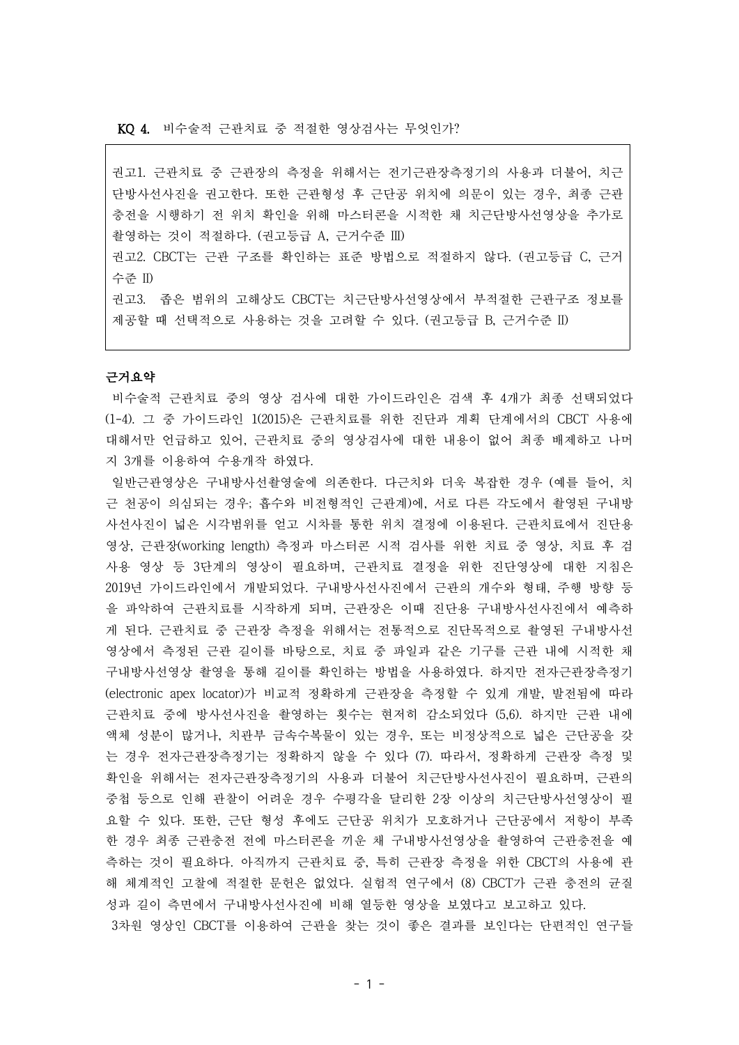권고1. 근관치료 중 근관장의 측정을 위해서는 전기근관장측정기의 사용과 더불어, 치근 단방사선사진을 권고한다. 또한 근관형성 후 근단공 위치에 의문이 있는 경우, 최종 근관 충전을 시행하기 전 위치 확인을 위해 마스터콘을 시적한 채 치근단방사선영상을 추가로 촬영하는 것이 적절하다. (권고등급 A, 근거수준 III)

권고2. CBCT는 근관 구조를 확인하는 표준 방법으로 적절하지 않다. (권고등급 C, 근거 수준 II)

권고3. 좁은 범위의 고해상도 CBCT는 치근단방사선영상에서 부적절한 근관구조 정보를 제공할 때 선택적으로 사용하는 것을 고려할 수 있다. (권고등급 B, 근거수준 II)

## 근거요약

비수술적 근관치료 중의 영상 검사에 대한 가이드라인은 검색 후 4개가 최종 선택되었다 (1-4). 그 중 가이드라인 1(2015)은 근관치료를 위한 진단과 계획 단계에서의 CBCT 사용에 대해서만 언급하고 있어, 근관치료 중의 영상검사에 대한 내용이 없어 최종 배제하고 나머 지 3개를 이용하여 수용개작 하였다.

일반근관영상은 구내방사선촬영술에 의존한다. 다근치와 더욱 복잡한 경우 (예를 들어, 치 근 천공이 의심되는 경우; 흡수와 비전형적인 근관계)에, 서로 다른 각도에서 촬영된 구내방 사선사진이 넓은 시각범위를 얻고 시차를 통한 위치 결정에 이용된다. 근관치료에서 진단용 영상, 근관장(working length) 측정과 마스터콘 시적 검사를 위한 치료 중 영상, 치료 후 검 사용 영상 등 3단계의 영상이 필요하며, 근관치료 결정을 위한 진단영상에 대한 지침은 2019년 가이드라인에서 개발되었다. 구내방사선사진에서 근관의 개수와 형태, 주행 방향 등 을 파악하여 근관치료를 시작하게 되며, 근관장은 이때 진단용 구내방사선사진에서 예측하 게 된다. 근관치료 중 근관장 측정을 위해서는 전통적으로 진단목적으로 촬영된 구내방사선 영상에서 측정된 근관 길이를 바탕으로, 치료 중 파일과 같은 기구를 근관 내에 시적한 채 구내방사선영상 촬영을 통해 길이를 확인하는 방법을 사용하였다. 하지만 전자근관장측정기 (electronic apex locator)가 비교적 정확하게 근관장을 측정할 수 있게 개발, 발전됨에 따라 근관치료 중에 방사선사진을 촬영하는 횟수는 현저히 감소되었다 (5,6). 하지만 근관 내에 액체 성분이 많거나, 치관부 금속수복물이 있는 경우, 또는 비정상적으로 넓은 근단공을 갖 는 경우 전자근관장측정기는 정확하지 않을 수 있다 (7). 따라서, 정확하게 근관장 측정 및 확인을 위해서는 전자근관장측정기의 사용과 더불어 치근단방사선사진이 필요하며, 근관의 중첩 등으로 인해 관찰이 어려운 경우 수평각을 달리한 2장 이상의 치근단방사선영상이 필 요할 수 있다. 또한, 근단 형성 후에도 근단공 위치가 모호하거나 근단공에서 저항이 부족 한 경우 최종 근관충전 전에 마스터콘을 끼운 채 구내방사선영상을 촬영하여 근관충전을 예 측하는 것이 필요하다. 아직까지 근관치료 중, 특히 근관장 측정을 위한 CBCT의 사용에 관 해 체계적인 고찰에 적절한 문헌은 없었다. 실험적 연구에서 (8) CBCT가 근관 충전의 균질 성과 길이 측면에서 구내방사선사진에 비해 열등한 영상을 보였다고 보고하고 있다. 3차원 영상인 CBCT를 이용하여 근관을 찾는 것이 좋은 결과를 보인다는 단편적인 연구들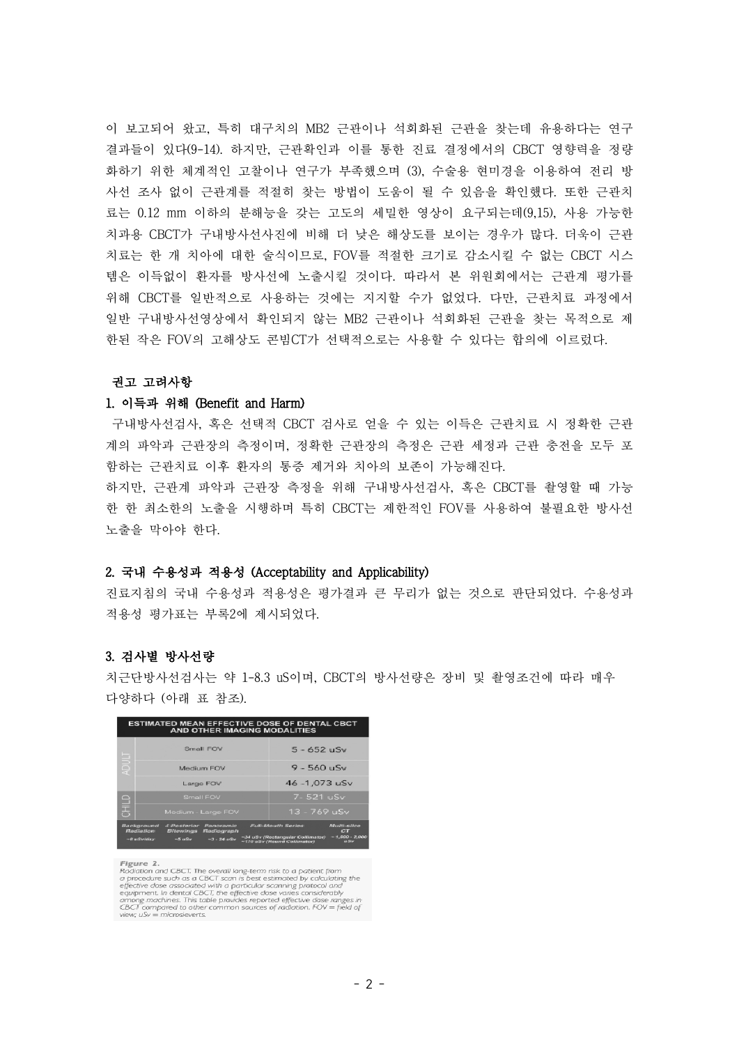이 보고되어 왔고, 특히 대구치의 MB2 근관이나 석회화된 근관을 찾는데 유용하다는 연구 결과들이 있다(9-14). 하지만, 근관확인과 이를 통한 진료 결정에서의 CBCT 영향력을 정량 화하기 위한 체계적인 고찰이나 연구가 부족했으며 (3), 수술용 현미경을 이용하여 전리 방 사선 조사 없이 근관계를 적절히 찾는 방법이 도움이 될 수 있음을 확인했다. 또한 근관치 료는 0.12 mm 이하의 분해능을 갖는 고도의 세밀한 영상이 요구되는데(9,15), 사용 가능한 치과용 CBCT가 구내방사선사진에 비해 더 낮은 해상도를 보이는 경우가 많다. 더욱이 근관 치료는 한 개 치아에 대한 술식이므로, FOV를 적절한 크기로 감소시킬 수 없는 CBCT 시스 템은 이득없이 환자를 방사선에 노출시킬 것이다. 따라서 본 위원회에서는 근관계 평가를 위해 CBCT를 일반적으로 사용하는 것에는 지지할 수가 없었다. 다만, 근관치료 과정에서 일반 구내방사선영상에서 확인되지 않는 MB2 근관이나 석회화된 근관을 찾는 목적으로 제 한된 작은 FOV의 고해상도 콘빔CT가 선택적으로는 사용할 수 있다는 합의에 이르렀다.

#### 권고 고려사항

#### 1. 이득과 위해 (Benefit and Harm)

구내방사선검사, 혹은 선택적 CBCT 검사로 얻을 수 있는 이득은 근관치료 시 정확한 근관 계의 파악과 근관장의 측정이며, 정확한 근관장의 측정은 근관 세정과 근관 충전을 모두 포 함하는 근관치료 이후 환자의 통증 제거와 치아의 보존이 가능해진다. 하지만, 근관계 파악과 근관장 측정을 위해 구내방사선검사, 혹은 CBCT를 촬영할 때 가능

한 한 최소한의 노출을 시행하며 특히 CBCT는 제한적인 FOV를 사용하여 불필요한 방사선 노출을 막아야 한다.

## 2. 국내 수용성과 적용성 (Acceptability and Applicability)

진료지침의 국내 수용성과 적용성은 평가결과 큰 무리가 없는 것으로 판단되었다. 수용성과 적용성 평가표는 부록2에 제시되었다.

## 3. 검사별 방사선량

치근단방사선검사는 약 1-8.3 uS이며, CBCT의 방사선량은 장비 및 촬영조건에 따라 매우 다양하다 (아래 표 참조).



Figure 2.<br>
Flackation and CBCT. The overall long-term risk to a potient from<br>
a procedure such as a CBCT scan is best estimated by calculating the<br>
effective close associated with a particular scanning protocol and<br>
equip